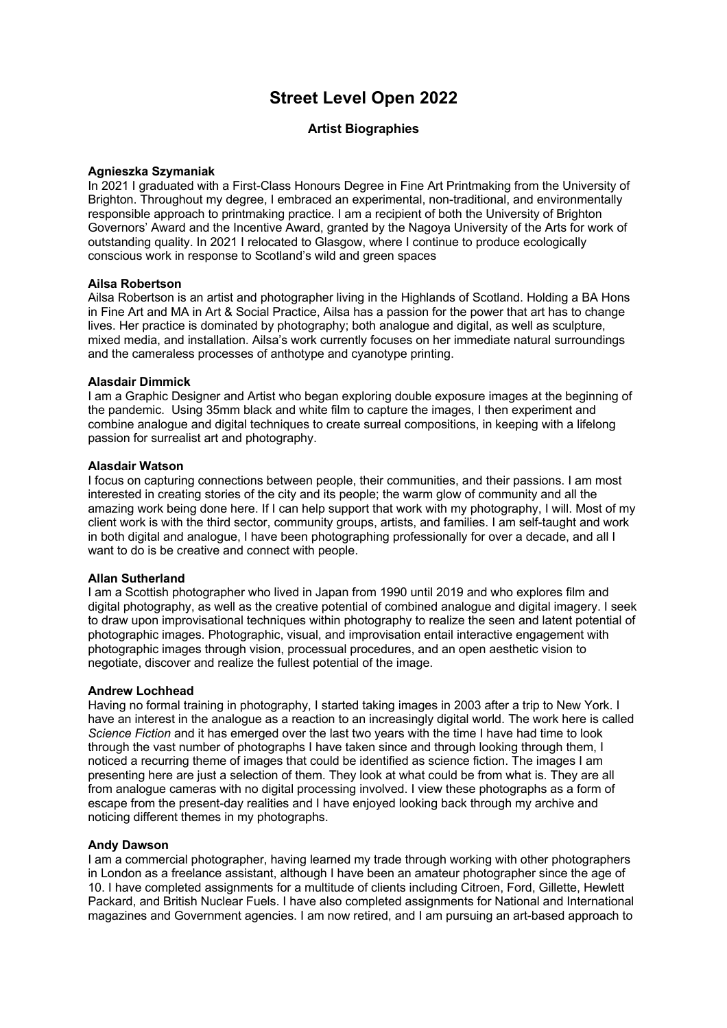# **Street Level Open 2022**

# **Artist Biographies**

### **Agnieszka Szymaniak**

In 2021 I graduated with a First-Class Honours Degree in Fine Art Printmaking from the University of Brighton. Throughout my degree, I embraced an experimental, non-traditional, and environmentally responsible approach to printmaking practice. I am a recipient of both the University of Brighton Governors' Award and the Incentive Award, granted by the Nagoya University of the Arts for work of outstanding quality. In 2021 I relocated to Glasgow, where I continue to produce ecologically conscious work in response to Scotland's wild and green spaces

### **Ailsa Robertson**

Ailsa Robertson is an artist and photographer living in the Highlands of Scotland. Holding a BA Hons in Fine Art and MA in Art & Social Practice, Ailsa has a passion for the power that art has to change lives. Her practice is dominated by photography; both analogue and digital, as well as sculpture, mixed media, and installation. Ailsa's work currently focuses on her immediate natural surroundings and the cameraless processes of anthotype and cyanotype printing.

### **Alasdair Dimmick**

I am a Graphic Designer and Artist who began exploring double exposure images at the beginning of the pandemic. Using 35mm black and white film to capture the images, I then experiment and combine analogue and digital techniques to create surreal compositions, in keeping with a lifelong passion for surrealist art and photography.

### **Alasdair Watson**

I focus on capturing connections between people, their communities, and their passions. I am most interested in creating stories of the city and its people; the warm glow of community and all the amazing work being done here. If I can help support that work with my photography, I will. Most of my client work is with the third sector, community groups, artists, and families. I am self-taught and work in both digital and analogue, I have been photographing professionally for over a decade, and all I want to do is be creative and connect with people.

### **Allan Sutherland**

I am a Scottish photographer who lived in Japan from 1990 until 2019 and who explores film and digital photography, as well as the creative potential of combined analogue and digital imagery. I seek to draw upon improvisational techniques within photography to realize the seen and latent potential of photographic images. Photographic, visual, and improvisation entail interactive engagement with photographic images through vision, processual procedures, and an open aesthetic vision to negotiate, discover and realize the fullest potential of the image.

### **Andrew Lochhead**

Having no formal training in photography, I started taking images in 2003 after a trip to New York. I have an interest in the analogue as a reaction to an increasingly digital world. The work here is called *Science Fiction* and it has emerged over the last two years with the time I have had time to look through the vast number of photographs I have taken since and through looking through them, I noticed a recurring theme of images that could be identified as science fiction. The images I am presenting here are just a selection of them. They look at what could be from what is. They are all from analogue cameras with no digital processing involved. I view these photographs as a form of escape from the present-day realities and I have enjoyed looking back through my archive and noticing different themes in my photographs.

### **Andy Dawson**

I am a commercial photographer, having learned my trade through working with other photographers in London as a freelance assistant, although I have been an amateur photographer since the age of 10. I have completed assignments for a multitude of clients including Citroen, Ford, Gillette, Hewlett Packard, and British Nuclear Fuels. I have also completed assignments for National and International magazines and Government agencies. I am now retired, and I am pursuing an art-based approach to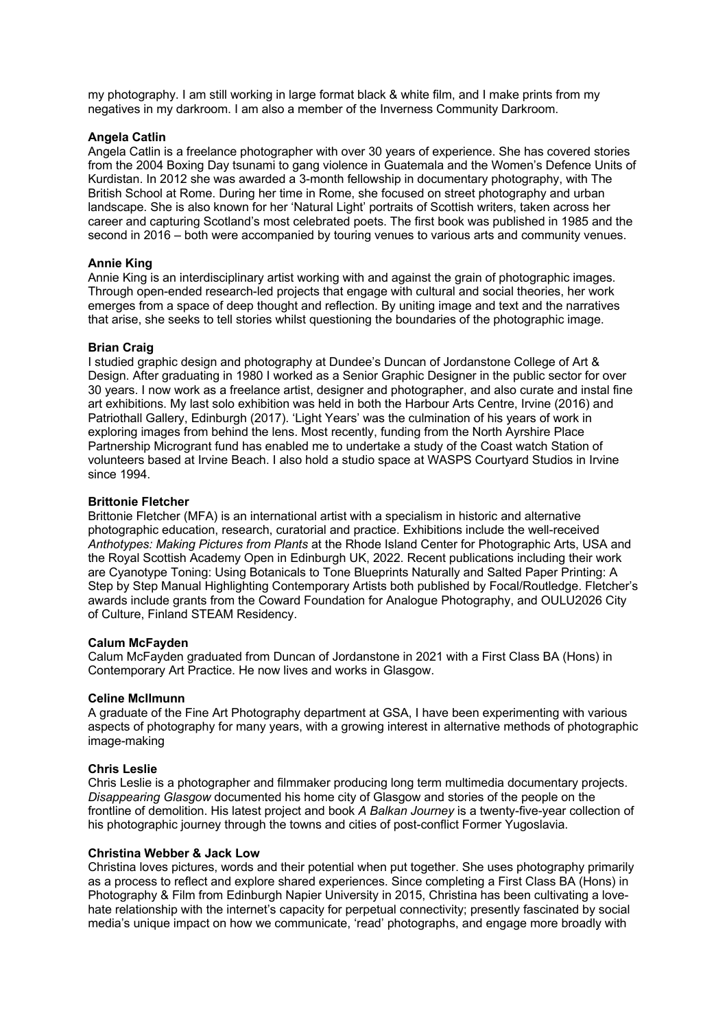my photography. I am still working in large format black & white film, and I make prints from my negatives in my darkroom. I am also a member of the Inverness Community Darkroom.

### **Angela Catlin**

Angela Catlin is a freelance photographer with over 30 years of experience. She has covered stories from the 2004 Boxing Day tsunami to gang violence in Guatemala and the Women's Defence Units of Kurdistan. In 2012 she was awarded a 3-month fellowship in documentary photography, with The British School at Rome. During her time in Rome, she focused on street photography and urban landscape. She is also known for her 'Natural Light' portraits of Scottish writers, taken across her career and capturing Scotland's most celebrated poets. The first book was published in 1985 and the second in 2016 – both were accompanied by touring venues to various arts and community venues.

#### **Annie King**

Annie King is an interdisciplinary artist working with and against the grain of photographic images. Through open-ended research-led projects that engage with cultural and social theories, her work emerges from a space of deep thought and reflection. By uniting image and text and the narratives that arise, she seeks to tell stories whilst questioning the boundaries of the photographic image.

#### **Brian Craig**

I studied graphic design and photography at Dundee's Duncan of Jordanstone College of Art & Design. After graduating in 1980 I worked as a Senior Graphic Designer in the public sector for over 30 years. I now work as a freelance artist, designer and photographer, and also curate and instal fine art exhibitions. My last solo exhibition was held in both the Harbour Arts Centre, Irvine (2016) and Patriothall Gallery, Edinburgh (2017). 'Light Years' was the culmination of his years of work in exploring images from behind the lens. Most recently, funding from the North Ayrshire Place Partnership Microgrant fund has enabled me to undertake a study of the Coast watch Station of volunteers based at Irvine Beach. I also hold a studio space at WASPS Courtyard Studios in Irvine since 1994.

#### **Brittonie Fletcher**

Brittonie Fletcher (MFA) is an international artist with a specialism in historic and alternative photographic education, research, curatorial and practice. Exhibitions include the well-received *Anthotypes: Making Pictures from Plants* at the Rhode Island Center for Photographic Arts, USA and the Royal Scottish Academy Open in Edinburgh UK, 2022. Recent publications including their work are Cyanotype Toning: Using Botanicals to Tone Blueprints Naturally and Salted Paper Printing: A Step by Step Manual Highlighting Contemporary Artists both published by Focal/Routledge. Fletcher's awards include grants from the Coward Foundation for Analogue Photography, and OULU2026 City of Culture, Finland STEAM Residency.

#### **Calum McFayden**

Calum McFayden graduated from Duncan of Jordanstone in 2021 with a First Class BA (Hons) in Contemporary Art Practice. He now lives and works in Glasgow.

#### **Celine McIlmunn**

A graduate of the Fine Art Photography department at GSA, I have been experimenting with various aspects of photography for many years, with a growing interest in alternative methods of photographic image-making

#### **Chris Leslie**

Chris Leslie is a photographer and filmmaker producing long term multimedia documentary projects. *Disappearing Glasgow* documented his home city of Glasgow and stories of the people on the frontline of demolition. His latest project and book *A Balkan Journey* is a twenty-five-year collection of his photographic journey through the towns and cities of post-conflict Former Yugoslavia.

#### **Christina Webber & Jack Low**

Christina loves pictures, words and their potential when put together. She uses photography primarily as a process to reflect and explore shared experiences. Since completing a First Class BA (Hons) in Photography & Film from Edinburgh Napier University in 2015, Christina has been cultivating a lovehate relationship with the internet's capacity for perpetual connectivity; presently fascinated by social media's unique impact on how we communicate, 'read' photographs, and engage more broadly with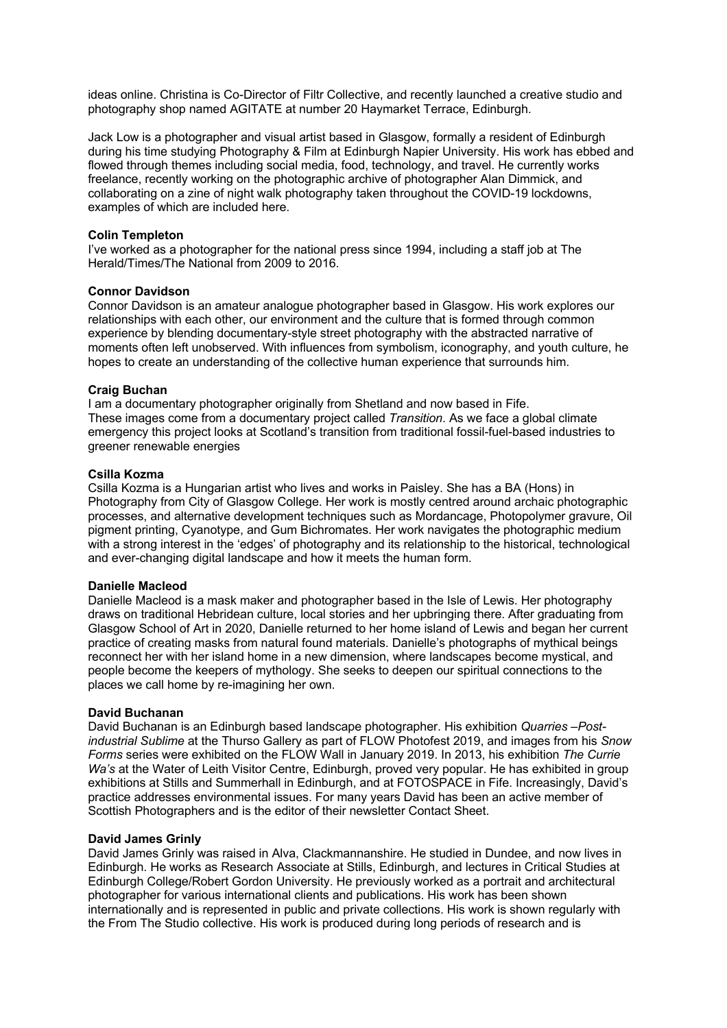ideas online. Christina is Co-Director of Filtr Collective, and recently launched a creative studio and photography shop named AGITATE at number 20 Haymarket Terrace, Edinburgh.

Jack Low is a photographer and visual artist based in Glasgow, formally a resident of Edinburgh during his time studying Photography & Film at Edinburgh Napier University. His work has ebbed and flowed through themes including social media, food, technology, and travel. He currently works freelance, recently working on the photographic archive of photographer Alan Dimmick, and collaborating on a zine of night walk photography taken throughout the COVID-19 lockdowns, examples of which are included here.

#### **Colin Templeton**

I've worked as a photographer for the national press since 1994, including a staff job at The Herald/Times/The National from 2009 to 2016.

#### **Connor Davidson**

Connor Davidson is an amateur analogue photographer based in Glasgow. His work explores our relationships with each other, our environment and the culture that is formed through common experience by blending documentary-style street photography with the abstracted narrative of moments often left unobserved. With influences from symbolism, iconography, and youth culture, he hopes to create an understanding of the collective human experience that surrounds him.

#### **Craig Buchan**

I am a documentary photographer originally from Shetland and now based in Fife. These images come from a documentary project called *Transition*. As we face a global climate emergency this project looks at Scotland's transition from traditional fossil-fuel-based industries to greener renewable energies

### **Csilla Kozma**

Csilla Kozma is a Hungarian artist who lives and works in Paisley. She has a BA (Hons) in Photography from City of Glasgow College. Her work is mostly centred around archaic photographic processes, and alternative development techniques such as Mordancage, Photopolymer gravure, Oil pigment printing, Cyanotype, and Gum Bichromates. Her work navigates the photographic medium with a strong interest in the 'edges' of photography and its relationship to the historical, technological and ever-changing digital landscape and how it meets the human form.

#### **Danielle Macleod**

Danielle Macleod is a mask maker and photographer based in the Isle of Lewis. Her photography draws on traditional Hebridean culture, local stories and her upbringing there. After graduating from Glasgow School of Art in 2020, Danielle returned to her home island of Lewis and began her current practice of creating masks from natural found materials. Danielle's photographs of mythical beings reconnect her with her island home in a new dimension, where landscapes become mystical, and people become the keepers of mythology. She seeks to deepen our spiritual connections to the places we call home by re-imagining her own.

#### **David Buchanan**

David Buchanan is an Edinburgh based landscape photographer. His exhibition *Quarries –Postindustrial Sublime* at the Thurso Gallery as part of FLOW Photofest 2019, and images from his *Snow Forms* series were exhibited on the FLOW Wall in January 2019. In 2013, his exhibition *The Currie*  Wa's at the Water of Leith Visitor Centre, Edinburgh, proved very popular. He has exhibited in group exhibitions at Stills and Summerhall in Edinburgh, and at FOTOSPACE in Fife. Increasingly, David's practice addresses environmental issues. For many years David has been an active member of Scottish Photographers and is the editor of their newsletter Contact Sheet.

### **David James Grinly**

David James Grinly was raised in Alva, Clackmannanshire. He studied in Dundee, and now lives in Edinburgh. He works as Research Associate at Stills, Edinburgh, and lectures in Critical Studies at Edinburgh College/Robert Gordon University. He previously worked as a portrait and architectural photographer for various international clients and publications. His work has been shown internationally and is represented in public and private collections. His work is shown regularly with the From The Studio collective. His work is produced during long periods of research and is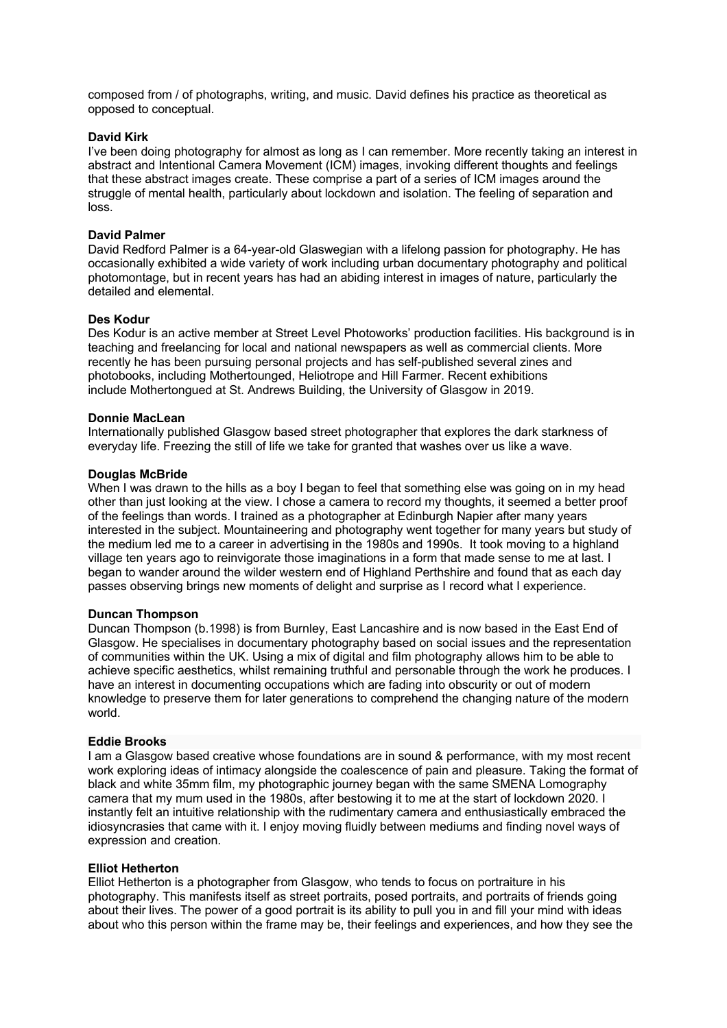composed from / of photographs, writing, and music. David defines his practice as theoretical as opposed to conceptual.

### **David Kirk**

I've been doing photography for almost as long as I can remember. More recently taking an interest in abstract and Intentional Camera Movement (ICM) images, invoking different thoughts and feelings that these abstract images create. These comprise a part of a series of ICM images around the struggle of mental health, particularly about lockdown and isolation. The feeling of separation and loss.

# **David Palmer**

David Redford Palmer is a 64-year-old Glaswegian with a lifelong passion for photography. He has occasionally exhibited a wide variety of work including urban documentary photography and political photomontage, but in recent years has had an abiding interest in images of nature, particularly the detailed and elemental.

# **Des Kodur**

Des Kodur is an active member at Street Level Photoworks' production facilities. His background is in teaching and freelancing for local and national newspapers as well as commercial clients. More recently he has been pursuing personal projects and has self-published several zines and photobooks, including Mothertounged, Heliotrope and Hill Farmer. Recent exhibitions include Mothertongued at St. Andrews Building, the University of Glasgow in 2019.

### **Donnie MacLean**

Internationally published Glasgow based street photographer that explores the dark starkness of everyday life. Freezing the still of life we take for granted that washes over us like a wave.

# **Douglas McBride**

When I was drawn to the hills as a boy I began to feel that something else was going on in my head other than just looking at the view. I chose a camera to record my thoughts, it seemed a better proof of the feelings than words. I trained as a photographer at Edinburgh Napier after many years interested in the subject. Mountaineering and photography went together for many years but study of the medium led me to a career in advertising in the 1980s and 1990s. It took moving to a highland village ten years ago to reinvigorate those imaginations in a form that made sense to me at last. I began to wander around the wilder western end of Highland Perthshire and found that as each day passes observing brings new moments of delight and surprise as I record what I experience.

### **Duncan Thompson**

Duncan Thompson (b.1998) is from Burnley, East Lancashire and is now based in the East End of Glasgow. He specialises in documentary photography based on social issues and the representation of communities within the UK. Using a mix of digital and film photography allows him to be able to achieve specific aesthetics, whilst remaining truthful and personable through the work he produces. I have an interest in documenting occupations which are fading into obscurity or out of modern knowledge to preserve them for later generations to comprehend the changing nature of the modern world.

### **Eddie Brooks**

I am a Glasgow based creative whose foundations are in sound & performance, with my most recent work exploring ideas of intimacy alongside the coalescence of pain and pleasure. Taking the format of black and white 35mm film, my photographic journey began with the same SMENA Lomography camera that my mum used in the 1980s, after bestowing it to me at the start of lockdown 2020. I instantly felt an intuitive relationship with the rudimentary camera and enthusiastically embraced the idiosyncrasies that came with it. I enjoy moving fluidly between mediums and finding novel ways of expression and creation.

### **Elliot Hetherton**

Elliot Hetherton is a photographer from Glasgow, who tends to focus on portraiture in his photography. This manifests itself as street portraits, posed portraits, and portraits of friends going about their lives. The power of a good portrait is its ability to pull you in and fill your mind with ideas about who this person within the frame may be, their feelings and experiences, and how they see the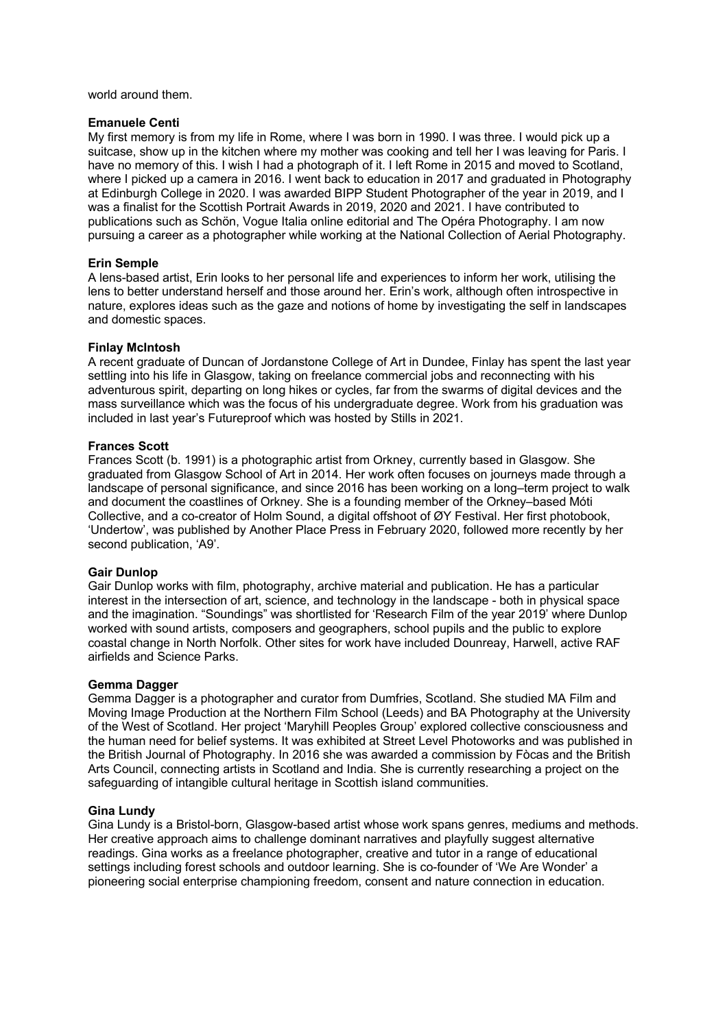world around them.

#### **Emanuele Centi**

My first memory is from my life in Rome, where I was born in 1990. I was three. I would pick up a suitcase, show up in the kitchen where my mother was cooking and tell her I was leaving for Paris. I have no memory of this. I wish I had a photograph of it. I left Rome in 2015 and moved to Scotland, where I picked up a camera in 2016. I went back to education in 2017 and graduated in Photography at Edinburgh College in 2020. I was awarded BIPP Student Photographer of the year in 2019, and I was a finalist for the Scottish Portrait Awards in 2019, 2020 and 2021. I have contributed to publications such as Schön, Vogue Italia online editorial and The Opéra Photography. I am now pursuing a career as a photographer while working at the National Collection of Aerial Photography.

### **Erin Semple**

A lens-based artist, Erin looks to her personal life and experiences to inform her work, utilising the lens to better understand herself and those around her. Erin's work, although often introspective in nature, explores ideas such as the gaze and notions of home by investigating the self in landscapes and domestic spaces.

### **Finlay McIntosh**

A recent graduate of Duncan of Jordanstone College of Art in Dundee, Finlay has spent the last year settling into his life in Glasgow, taking on freelance commercial jobs and reconnecting with his adventurous spirit, departing on long hikes or cycles, far from the swarms of digital devices and the mass surveillance which was the focus of his undergraduate degree. Work from his graduation was included in last year's Futureproof which was hosted by Stills in 2021.

### **Frances Scott**

Frances Scott (b. 1991) is a photographic artist from Orkney, currently based in Glasgow. She graduated from Glasgow School of Art in 2014. Her work often focuses on journeys made through a landscape of personal significance, and since 2016 has been working on a long–term project to walk and document the coastlines of Orkney. She is a founding member of the Orkney–based Móti Collective, and a co-creator of Holm Sound, a digital offshoot of ØY Festival. Her first photobook, 'Undertow', was published by Another Place Press in February 2020, followed more recently by her second publication, 'A9'.

#### **Gair Dunlop**

Gair Dunlop works with film, photography, archive material and publication. He has a particular interest in the intersection of art, science, and technology in the landscape - both in physical space and the imagination. "Soundings" was shortlisted for 'Research Film of the year 2019' where Dunlop worked with sound artists, composers and geographers, school pupils and the public to explore coastal change in North Norfolk. Other sites for work have included Dounreay, Harwell, active RAF airfields and Science Parks.

### **Gemma Dagger**

Gemma Dagger is a photographer and curator from Dumfries, Scotland. She studied MA Film and Moving Image Production at the Northern Film School (Leeds) and BA Photography at the University of the West of Scotland. Her project 'Maryhill Peoples Group' explored collective consciousness and the human need for belief systems. It was exhibited at Street Level Photoworks and was published in the British Journal of Photography. In 2016 she was awarded a commission by Fòcas and the British Arts Council, connecting artists in Scotland and India. She is currently researching a project on the safeguarding of intangible cultural heritage in Scottish island communities.

#### **Gina Lundy**

Gina Lundy is a Bristol-born, Glasgow-based artist whose work spans genres, mediums and methods. Her creative approach aims to challenge dominant narratives and playfully suggest alternative readings. Gina works as a freelance photographer, creative and tutor in a range of educational settings including forest schools and outdoor learning. She is co-founder of 'We Are Wonder' a pioneering social enterprise championing freedom, consent and nature connection in education.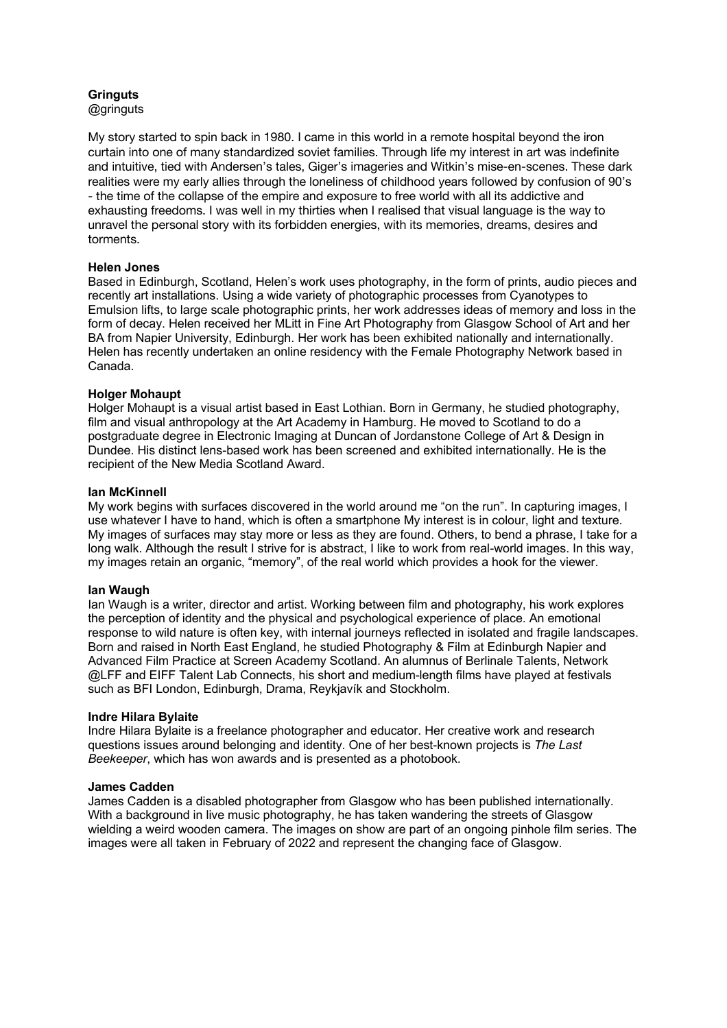#### **Gringuts** @gringuts

My story started to spin back in 1980. I came in this world in a remote hospital beyond the iron curtain into one of many standardized soviet families. Through life my interest in art was indefinite and intuitive, tied with Andersen's tales, Giger's imageries and Witkin's mise-en-scenes. These dark realities were my early allies through the loneliness of childhood years followed by confusion of 90's - the time of the collapse of the empire and exposure to free world with all its addictive and exhausting freedoms. I was well in my thirties when I realised that visual language is the way to unravel the personal story with its forbidden energies, with its memories, dreams, desires and torments.

# **Helen Jones**

Based in Edinburgh, Scotland, Helen's work uses photography, in the form of prints, audio pieces and recently art installations. Using a wide variety of photographic processes from Cyanotypes to Emulsion lifts, to large scale photographic prints, her work addresses ideas of memory and loss in the form of decay. Helen received her MLitt in Fine Art Photography from Glasgow School of Art and her BA from Napier University, Edinburgh. Her work has been exhibited nationally and internationally. Helen has recently undertaken an online residency with the Female Photography Network based in Canada.

# **Holger Mohaupt**

Holger Mohaupt is a visual artist based in East Lothian. Born in Germany, he studied photography, film and visual anthropology at the Art Academy in Hamburg. He moved to Scotland to do a postgraduate degree in Electronic Imaging at Duncan of Jordanstone College of Art & Design in Dundee. His distinct lens-based work has been screened and exhibited internationally. He is the recipient of the New Media Scotland Award.

### **Ian McKinnell**

My work begins with surfaces discovered in the world around me "on the run". In capturing images, I use whatever I have to hand, which is often a smartphone My interest is in colour, light and texture. My images of surfaces may stay more or less as they are found. Others, to bend a phrase, I take for a long walk. Although the result I strive for is abstract, I like to work from real-world images. In this way, my images retain an organic, "memory", of the real world which provides a hook for the viewer.

### **Ian Waugh**

Ian Waugh is a writer, director and artist. Working between film and photography, his work explores the perception of identity and the physical and psychological experience of place. An emotional response to wild nature is often key, with internal journeys reflected in isolated and fragile landscapes. Born and raised in North East England, he studied Photography & Film at Edinburgh Napier and Advanced Film Practice at Screen Academy Scotland. An alumnus of Berlinale Talents, Network @LFF and EIFF Talent Lab Connects, his short and medium-length films have played at festivals such as BFI London, Edinburgh, Drama, Reykjavík and Stockholm.

### **Indre Hilara Bylaite**

Indre Hilara Bylaite is a freelance photographer and educator. Her creative work and research questions issues around belonging and identity. One of her best-known projects is *The Last Beekeeper*, which has won awards and is presented as a photobook.

### **James Cadden**

James Cadden is a disabled photographer from Glasgow who has been published internationally. With a background in live music photography, he has taken wandering the streets of Glasgow wielding a weird wooden camera. The images on show are part of an ongoing pinhole film series. The images were all taken in February of 2022 and represent the changing face of Glasgow.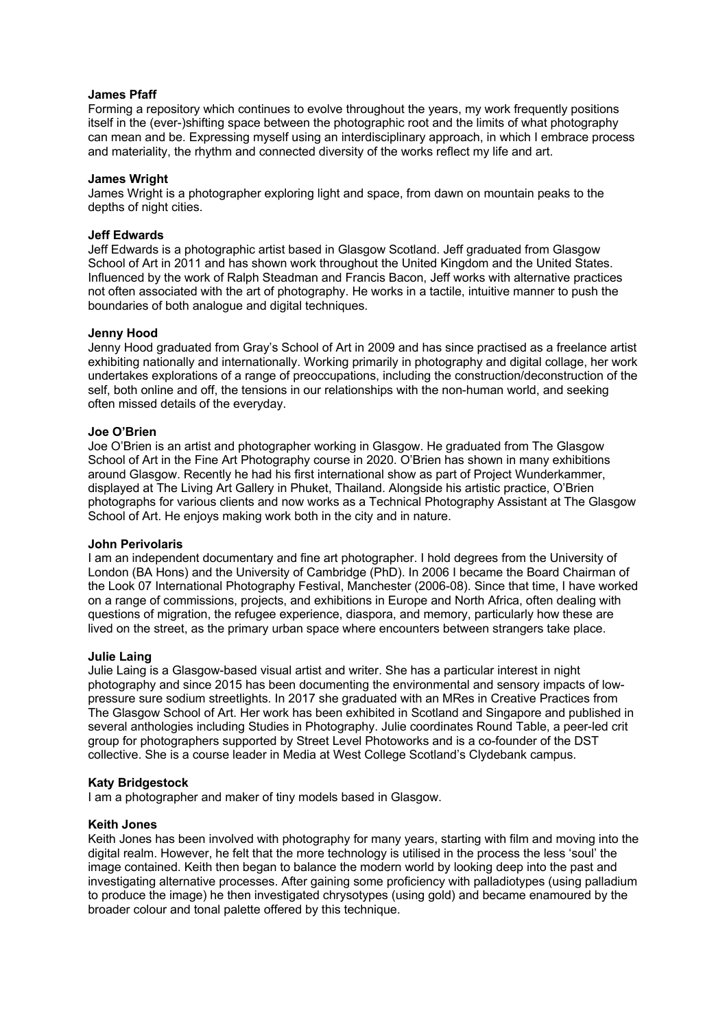### **James Pfaff**

Forming a repository which continues to evolve throughout the years, my work frequently positions itself in the (ever-)shifting space between the photographic root and the limits of what photography can mean and be. Expressing myself using an interdisciplinary approach, in which I embrace process and materiality, the rhythm and connected diversity of the works reflect my life and art.

### **James Wright**

James Wright is a photographer exploring light and space, from dawn on mountain peaks to the depths of night cities.

### **Jeff Edwards**

Jeff Edwards is a photographic artist based in Glasgow Scotland. Jeff graduated from Glasgow School of Art in 2011 and has shown work throughout the United Kingdom and the United States. Influenced by the work of Ralph Steadman and Francis Bacon, Jeff works with alternative practices not often associated with the art of photography. He works in a tactile, intuitive manner to push the boundaries of both analogue and digital techniques.

### **Jenny Hood**

Jenny Hood graduated from Gray's School of Art in 2009 and has since practised as a freelance artist exhibiting nationally and internationally. Working primarily in photography and digital collage, her work undertakes explorations of a range of preoccupations, including the construction/deconstruction of the self, both online and off, the tensions in our relationships with the non-human world, and seeking often missed details of the everyday.

### **Joe O'Brien**

Joe O'Brien is an artist and photographer working in Glasgow. He graduated from The Glasgow School of Art in the Fine Art Photography course in 2020. O'Brien has shown in many exhibitions around Glasgow. Recently he had his first international show as part of Project Wunderkammer, displayed at The Living Art Gallery in Phuket, Thailand. Alongside his artistic practice, O'Brien photographs for various clients and now works as a Technical Photography Assistant at The Glasgow School of Art. He enjoys making work both in the city and in nature.

### **John Perivolaris**

I am an independent documentary and fine art photographer. I hold degrees from the University of London (BA Hons) and the University of Cambridge (PhD). In 2006 I became the Board Chairman of the Look 07 International Photography Festival, Manchester (2006-08). Since that time, I have worked on a range of commissions, projects, and exhibitions in Europe and North Africa, often dealing with questions of migration, the refugee experience, diaspora, and memory, particularly how these are lived on the street, as the primary urban space where encounters between strangers take place.

### **Julie Laing**

Julie Laing is a Glasgow-based visual artist and writer. She has a particular interest in night photography and since 2015 has been documenting the environmental and sensory impacts of lowpressure sure sodium streetlights. In 2017 she graduated with an MRes in Creative Practices from The Glasgow School of Art. Her work has been exhibited in Scotland and Singapore and published in several anthologies including Studies in Photography. Julie coordinates Round Table, a peer-led crit group for photographers supported by Street Level Photoworks and is a co-founder of the DST collective. She is a course leader in Media at West College Scotland's Clydebank campus.

### **Katy Bridgestock**

I am a photographer and maker of tiny models based in Glasgow.

# **Keith Jones**

Keith Jones has been involved with photography for many years, starting with film and moving into the digital realm. However, he felt that the more technology is utilised in the process the less 'soul' the image contained. Keith then began to balance the modern world by looking deep into the past and investigating alternative processes. After gaining some proficiency with palladiotypes (using palladium to produce the image) he then investigated chrysotypes (using gold) and became enamoured by the broader colour and tonal palette offered by this technique.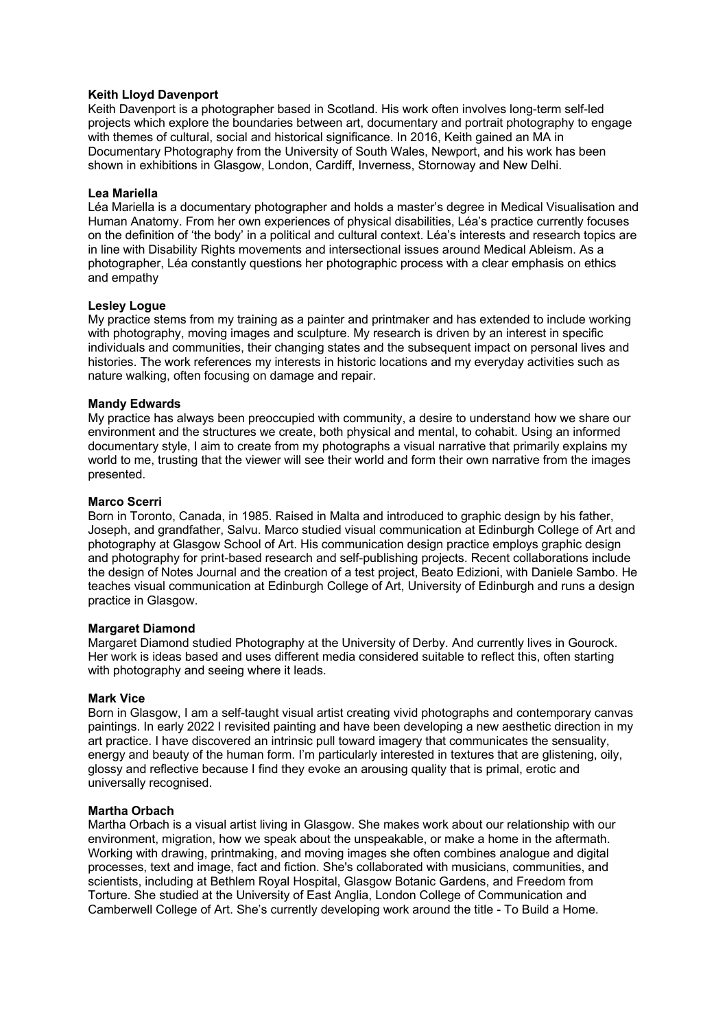# **Keith Lloyd Davenport**

Keith Davenport is a photographer based in Scotland. His work often involves long-term self-led projects which explore the boundaries between art, documentary and portrait photography to engage with themes of cultural, social and historical significance. In 2016, Keith gained an MA in Documentary Photography from the University of South Wales, Newport, and his work has been shown in exhibitions in Glasgow, London, Cardiff, Inverness, Stornoway and New Delhi.

# **Lea Mariella**

Léa Mariella is a documentary photographer and holds a master's degree in Medical Visualisation and Human Anatomy. From her own experiences of physical disabilities, Léa's practice currently focuses on the definition of 'the body' in a political and cultural context. Léa's interests and research topics are in line with Disability Rights movements and intersectional issues around Medical Ableism. As a photographer, Léa constantly questions her photographic process with a clear emphasis on ethics and empathy

### **Lesley Logue**

My practice stems from my training as a painter and printmaker and has extended to include working with photography, moving images and sculpture. My research is driven by an interest in specific individuals and communities, their changing states and the subsequent impact on personal lives and histories. The work references my interests in historic locations and my everyday activities such as nature walking, often focusing on damage and repair.

# **Mandy Edwards**

My practice has always been preoccupied with community, a desire to understand how we share our environment and the structures we create, both physical and mental, to cohabit. Using an informed documentary style, I aim to create from my photographs a visual narrative that primarily explains my world to me, trusting that the viewer will see their world and form their own narrative from the images presented.

# **Marco Scerri**

Born in Toronto, Canada, in 1985. Raised in Malta and introduced to graphic design by his father, Joseph, and grandfather, Salvu. Marco studied visual communication at Edinburgh College of Art and photography at Glasgow School of Art. His communication design practice employs graphic design and photography for print-based research and self-publishing projects. Recent collaborations include the design of Notes Journal and the creation of a test project, Beato Edizioni, with Daniele Sambo. He teaches visual communication at Edinburgh College of Art, University of Edinburgh and runs a design practice in Glasgow.

### **Margaret Diamond**

Margaret Diamond studied Photography at the University of Derby. And currently lives in Gourock. Her work is ideas based and uses different media considered suitable to reflect this, often starting with photography and seeing where it leads.

### **Mark Vice**

Born in Glasgow, I am a self-taught visual artist creating vivid photographs and contemporary canvas paintings. In early 2022 I revisited painting and have been developing a new aesthetic direction in my art practice. I have discovered an intrinsic pull toward imagery that communicates the sensuality, energy and beauty of the human form. I'm particularly interested in textures that are glistening, oily, glossy and reflective because I find they evoke an arousing quality that is primal, erotic and universally recognised.

### **Martha Orbach**

Martha Orbach is a visual artist living in Glasgow. She makes work about our relationship with our environment, migration, how we speak about the unspeakable, or make a home in the aftermath. Working with drawing, printmaking, and moving images she often combines analogue and digital processes, text and image, fact and fiction. She's collaborated with musicians, communities, and scientists, including at Bethlem Royal Hospital, Glasgow Botanic Gardens, and Freedom from Torture. She studied at the University of East Anglia, London College of Communication and Camberwell College of Art. She's currently developing work around the title - To Build a Home.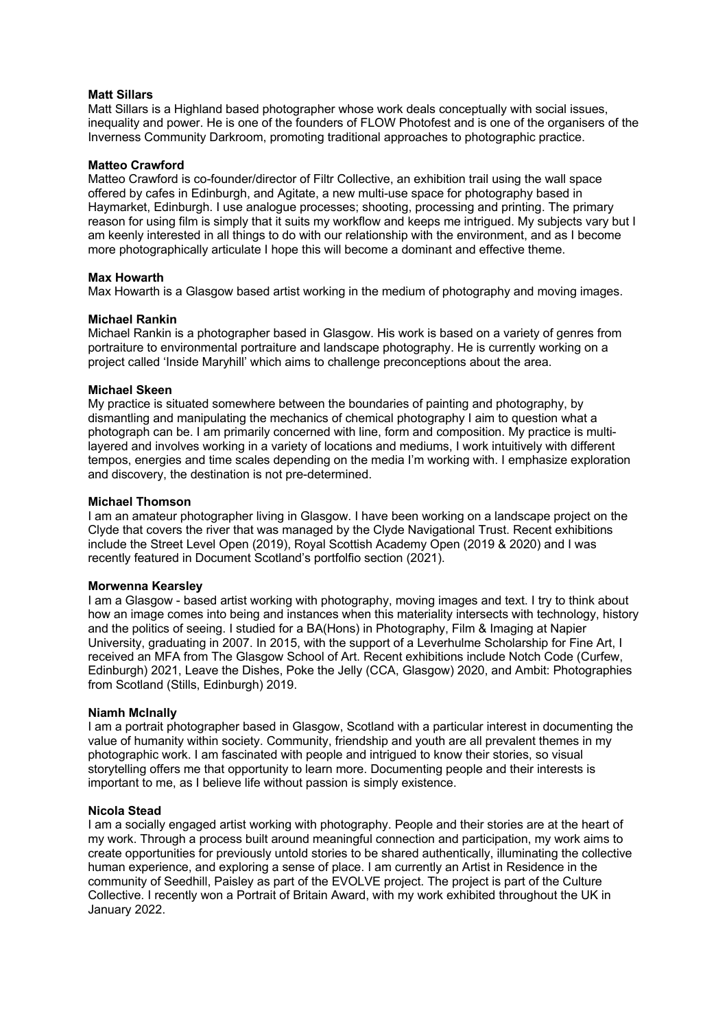### **Matt Sillars**

Matt Sillars is a Highland based photographer whose work deals conceptually with social issues, inequality and power. He is one of the founders of FLOW Photofest and is one of the organisers of the Inverness Community Darkroom, promoting traditional approaches to photographic practice.

### **Matteo Crawford**

Matteo Crawford is co-founder/director of Filtr Collective, an exhibition trail using the wall space offered by cafes in Edinburgh, and Agitate, a new multi-use space for photography based in Haymarket, Edinburgh. I use analogue processes; shooting, processing and printing. The primary reason for using film is simply that it suits my workflow and keeps me intrigued. My subjects vary but I am keenly interested in all things to do with our relationship with the environment, and as I become more photographically articulate I hope this will become a dominant and effective theme.

# **Max Howarth**

Max Howarth is a Glasgow based artist working in the medium of photography and moving images.

# **Michael Rankin**

Michael Rankin is a photographer based in Glasgow. His work is based on a variety of genres from portraiture to environmental portraiture and landscape photography. He is currently working on a project called 'Inside Maryhill' which aims to challenge preconceptions about the area.

# **Michael Skeen**

My practice is situated somewhere between the boundaries of painting and photography, by dismantling and manipulating the mechanics of chemical photography I aim to question what a photograph can be. I am primarily concerned with line, form and composition. My practice is multilayered and involves working in a variety of locations and mediums, I work intuitively with different tempos, energies and time scales depending on the media I'm working with. I emphasize exploration and discovery, the destination is not pre-determined.

### **Michael Thomson**

I am an amateur photographer living in Glasgow. I have been working on a landscape project on the Clyde that covers the river that was managed by the Clyde Navigational Trust. Recent exhibitions include the Street Level Open (2019), Royal Scottish Academy Open (2019 & 2020) and I was recently featured in Document Scotland's portfolfio section (2021).

### **Morwenna Kearsley**

I am a Glasgow - based artist working with photography, moving images and text. I try to think about how an image comes into being and instances when this materiality intersects with technology, history and the politics of seeing. I studied for a BA(Hons) in Photography, Film & Imaging at Napier University, graduating in 2007. In 2015, with the support of a Leverhulme Scholarship for Fine Art, I received an MFA from The Glasgow School of Art. Recent exhibitions include Notch Code (Curfew, Edinburgh) 2021, Leave the Dishes, Poke the Jelly (CCA, Glasgow) 2020, and Ambit: Photographies from Scotland (Stills, Edinburgh) 2019.

### **Niamh McInally**

I am a portrait photographer based in Glasgow, Scotland with a particular interest in documenting the value of humanity within society. Community, friendship and youth are all prevalent themes in my photographic work. I am fascinated with people and intrigued to know their stories, so visual storytelling offers me that opportunity to learn more. Documenting people and their interests is important to me, as I believe life without passion is simply existence.

### **Nicola Stead**

I am a socially engaged artist working with photography. People and their stories are at the heart of my work. Through a process built around meaningful connection and participation, my work aims to create opportunities for previously untold stories to be shared authentically, illuminating the collective human experience, and exploring a sense of place. I am currently an Artist in Residence in the community of Seedhill, Paisley as part of the EVOLVE project. The project is part of the Culture Collective. I recently won a Portrait of Britain Award, with my work exhibited throughout the UK in January 2022.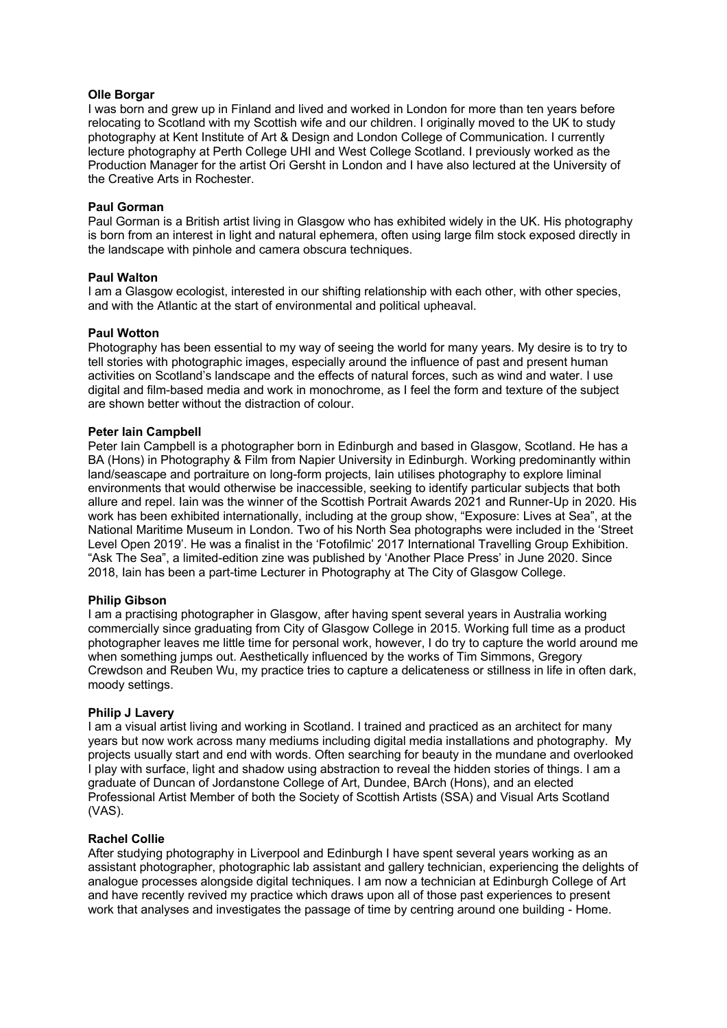### **Olle Borgar**

I was born and grew up in Finland and lived and worked in London for more than ten years before relocating to Scotland with my Scottish wife and our children. I originally moved to the UK to study photography at Kent Institute of Art & Design and London College of Communication. I currently lecture photography at Perth College UHI and West College Scotland. I previously worked as the Production Manager for the artist Ori Gersht in London and I have also lectured at the University of the Creative Arts in Rochester.

# **Paul Gorman**

Paul Gorman is a British artist living in Glasgow who has exhibited widely in the UK. His photography is born from an interest in light and natural ephemera, often using large film stock exposed directly in the landscape with pinhole and camera obscura techniques.

# **Paul Walton**

I am a Glasgow ecologist, interested in our shifting relationship with each other, with other species, and with the Atlantic at the start of environmental and political upheaval.

# **Paul Wotton**

Photography has been essential to my way of seeing the world for many years. My desire is to try to tell stories with photographic images, especially around the influence of past and present human activities on Scotland's landscape and the effects of natural forces, such as wind and water. I use digital and film-based media and work in monochrome, as I feel the form and texture of the subject are shown better without the distraction of colour.

# **Peter Iain Campbell**

Peter Iain Campbell is a photographer born in Edinburgh and based in Glasgow, Scotland. He has a BA (Hons) in Photography & Film from Napier University in Edinburgh. Working predominantly within land/seascape and portraiture on long-form projects, Iain utilises photography to explore liminal environments that would otherwise be inaccessible, seeking to identify particular subjects that both allure and repel. Iain was the winner of the Scottish Portrait Awards 2021 and Runner-Up in 2020. His work has been exhibited internationally, including at the group show, "Exposure: Lives at Sea", at the National Maritime Museum in London. Two of his North Sea photographs were included in the 'Street Level Open 2019'. He was a finalist in the 'Fotofilmic' 2017 International Travelling Group Exhibition. "Ask The Sea", a limited-edition zine was published by 'Another Place Press' in June 2020. Since 2018, Iain has been a part-time Lecturer in Photography at The City of Glasgow College.

### **Philip Gibson**

I am a practising photographer in Glasgow, after having spent several years in Australia working commercially since graduating from City of Glasgow College in 2015. Working full time as a product photographer leaves me little time for personal work, however, I do try to capture the world around me when something jumps out. Aesthetically influenced by the works of Tim Simmons, Gregory Crewdson and Reuben Wu, my practice tries to capture a delicateness or stillness in life in often dark, moody settings.

### **Philip J Lavery**

I am a visual artist living and working in Scotland. I trained and practiced as an architect for many years but now work across many mediums including digital media installations and photography. My projects usually start and end with words. Often searching for beauty in the mundane and overlooked I play with surface, light and shadow using abstraction to reveal the hidden stories of things. I am a graduate of Duncan of Jordanstone College of Art, Dundee, BArch (Hons), and an elected Professional Artist Member of both the Society of Scottish Artists (SSA) and Visual Arts Scotland (VAS).

# **Rachel Collie**

After studying photography in Liverpool and Edinburgh I have spent several years working as an assistant photographer, photographic lab assistant and gallery technician, experiencing the delights of analogue processes alongside digital techniques. I am now a technician at Edinburgh College of Art and have recently revived my practice which draws upon all of those past experiences to present work that analyses and investigates the passage of time by centring around one building - Home.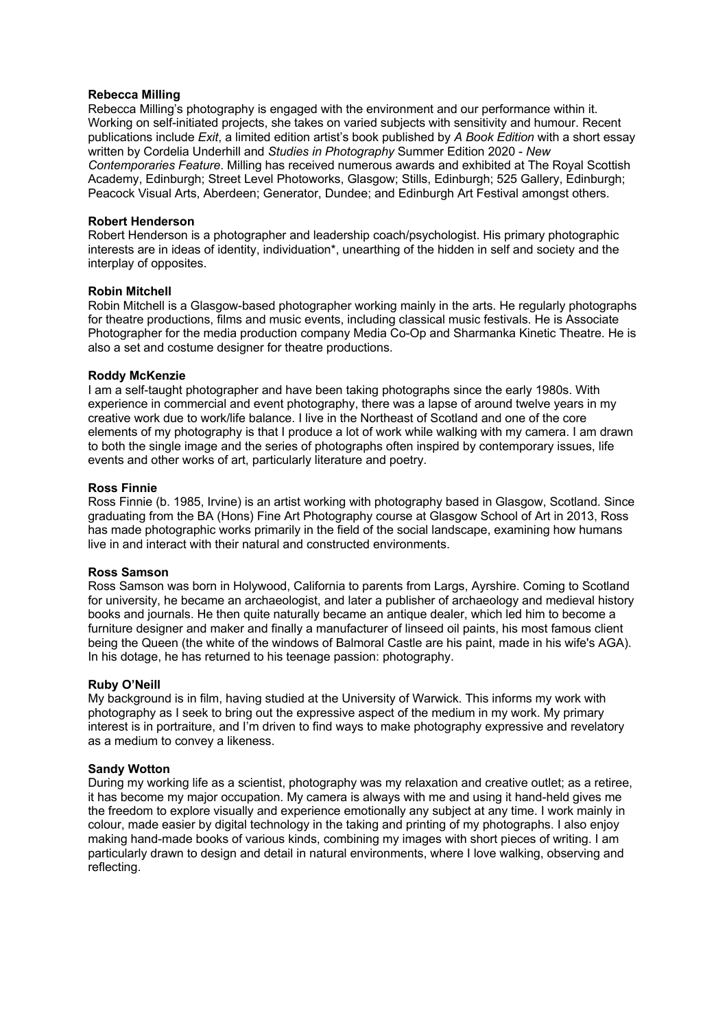### **Rebecca Milling**

Rebecca Milling's photography is engaged with the environment and our performance within it. Working on self-initiated projects, she takes on varied subjects with sensitivity and humour. Recent publications include *Exit*, a limited edition artist's book published by *A Book Edition* with a short essay written by Cordelia Underhill and *Studies in Photography* Summer Edition 2020 - *New Contemporaries Feature*. Milling has received numerous awards and exhibited at The Royal Scottish Academy, Edinburgh; Street Level Photoworks, Glasgow; Stills, Edinburgh; 525 Gallery, Edinburgh; Peacock Visual Arts, Aberdeen; Generator, Dundee; and Edinburgh Art Festival amongst others.

### **Robert Henderson**

Robert Henderson is a photographer and leadership coach/psychologist. His primary photographic interests are in ideas of identity, individuation\*, unearthing of the hidden in self and society and the interplay of opposites.

# **Robin Mitchell**

Robin Mitchell is a Glasgow-based photographer working mainly in the arts. He regularly photographs for theatre productions, films and music events, including classical music festivals. He is Associate Photographer for the media production company Media Co-Op and Sharmanka Kinetic Theatre. He is also a set and costume designer for theatre productions.

# **Roddy McKenzie**

I am a self-taught photographer and have been taking photographs since the early 1980s. With experience in commercial and event photography, there was a lapse of around twelve years in my creative work due to work/life balance. I live in the Northeast of Scotland and one of the core elements of my photography is that I produce a lot of work while walking with my camera. I am drawn to both the single image and the series of photographs often inspired by contemporary issues, life events and other works of art, particularly literature and poetry.

# **Ross Finnie**

Ross Finnie (b. 1985, Irvine) is an artist working with photography based in Glasgow, Scotland. Since graduating from the BA (Hons) Fine Art Photography course at Glasgow School of Art in 2013, Ross has made photographic works primarily in the field of the social landscape, examining how humans live in and interact with their natural and constructed environments.

### **Ross Samson**

Ross Samson was born in Holywood, California to parents from Largs, Ayrshire. Coming to Scotland for university, he became an archaeologist, and later a publisher of archaeology and medieval history books and journals. He then quite naturally became an antique dealer, which led him to become a furniture designer and maker and finally a manufacturer of linseed oil paints, his most famous client being the Queen (the white of the windows of Balmoral Castle are his paint, made in his wife's AGA). In his dotage, he has returned to his teenage passion: photography.

### **Ruby O'Neill**

My background is in film, having studied at the University of Warwick. This informs my work with photography as I seek to bring out the expressive aspect of the medium in my work. My primary interest is in portraiture, and I'm driven to find ways to make photography expressive and revelatory as a medium to convey a likeness.

### **Sandy Wotton**

During my working life as a scientist, photography was my relaxation and creative outlet; as a retiree, it has become my major occupation. My camera is always with me and using it hand-held gives me the freedom to explore visually and experience emotionally any subject at any time. I work mainly in colour, made easier by digital technology in the taking and printing of my photographs. I also enjoy making hand-made books of various kinds, combining my images with short pieces of writing. I am particularly drawn to design and detail in natural environments, where I love walking, observing and reflecting.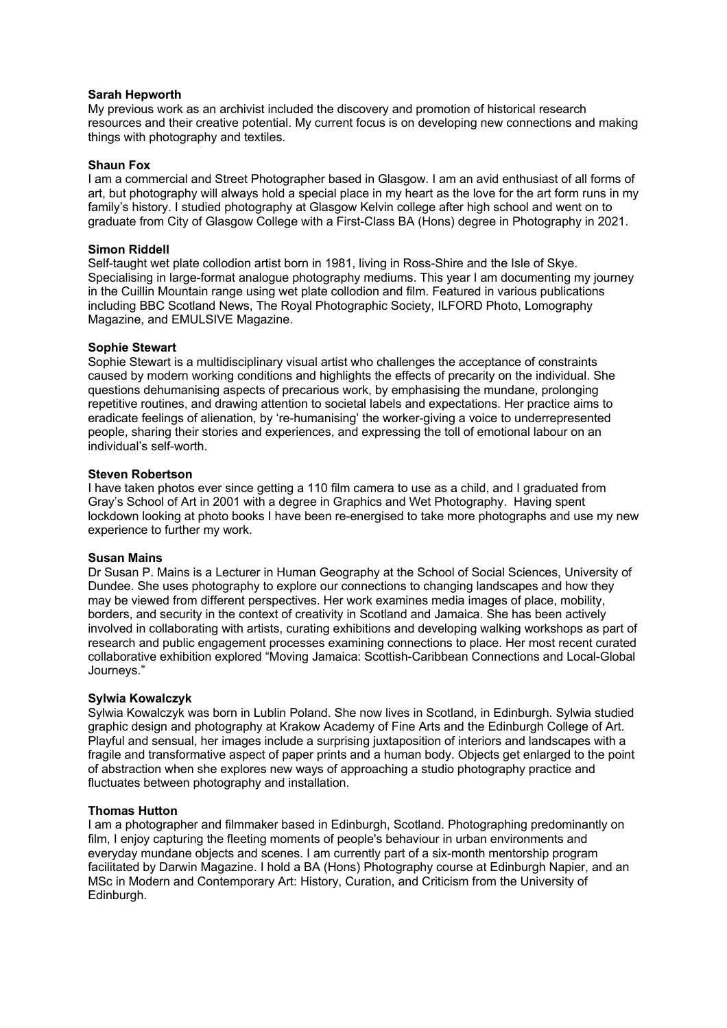### **Sarah Hepworth**

My previous work as an archivist included the discovery and promotion of historical research resources and their creative potential. My current focus is on developing new connections and making things with photography and textiles.

### **Shaun Fox**

I am a commercial and Street Photographer based in Glasgow. I am an avid enthusiast of all forms of art, but photography will always hold a special place in my heart as the love for the art form runs in my family's history. I studied photography at Glasgow Kelvin college after high school and went on to graduate from City of Glasgow College with a First-Class BA (Hons) degree in Photography in 2021.

### **Simon Riddell**

Self-taught wet plate collodion artist born in 1981, living in Ross-Shire and the Isle of Skye. Specialising in large-format analogue photography mediums. This year I am documenting my journey in the Cuillin Mountain range using wet plate collodion and film. Featured in various publications including BBC Scotland News, The Royal Photographic Society, ILFORD Photo, Lomography Magazine, and EMULSIVE Magazine.

# **Sophie Stewart**

Sophie Stewart is a multidisciplinary visual artist who challenges the acceptance of constraints caused by modern working conditions and highlights the effects of precarity on the individual. She questions dehumanising aspects of precarious work, by emphasising the mundane, prolonging repetitive routines, and drawing attention to societal labels and expectations. Her practice aims to eradicate feelings of alienation, by 're-humanising' the worker-giving a voice to underrepresented people, sharing their stories and experiences, and expressing the toll of emotional labour on an individual's self-worth.

# **Steven Robertson**

I have taken photos ever since getting a 110 film camera to use as a child, and I graduated from Gray's School of Art in 2001 with a degree in Graphics and Wet Photography. Having spent lockdown looking at photo books I have been re-energised to take more photographs and use my new experience to further my work.

### **Susan Mains**

Dr Susan P. Mains is a Lecturer in Human Geography at the School of Social Sciences, University of Dundee. She uses photography to explore our connections to changing landscapes and how they may be viewed from different perspectives. Her work examines media images of place, mobility, borders, and security in the context of creativity in Scotland and Jamaica. She has been actively involved in collaborating with artists, curating exhibitions and developing walking workshops as part of research and public engagement processes examining connections to place. Her most recent curated collaborative exhibition explored "Moving Jamaica: Scottish-Caribbean Connections and Local-Global Journeys."

### **Sylwia Kowalczyk**

Sylwia Kowalczyk was born in Lublin Poland. She now lives in Scotland, in Edinburgh. Sylwia studied graphic design and photography at Krakow Academy of Fine Arts and the Edinburgh College of Art. Playful and sensual, her images include a surprising juxtaposition of interiors and landscapes with a fragile and transformative aspect of paper prints and a human body. Objects get enlarged to the point of abstraction when she explores new ways of approaching a studio photography practice and fluctuates between photography and installation.

### **Thomas Hutton**

I am a photographer and filmmaker based in Edinburgh, Scotland. Photographing predominantly on film, I enjoy capturing the fleeting moments of people's behaviour in urban environments and everyday mundane objects and scenes. I am currently part of a six-month mentorship program facilitated by Darwin Magazine. I hold a BA (Hons) Photography course at Edinburgh Napier, and an MSc in Modern and Contemporary Art: History, Curation, and Criticism from the University of Edinburgh.